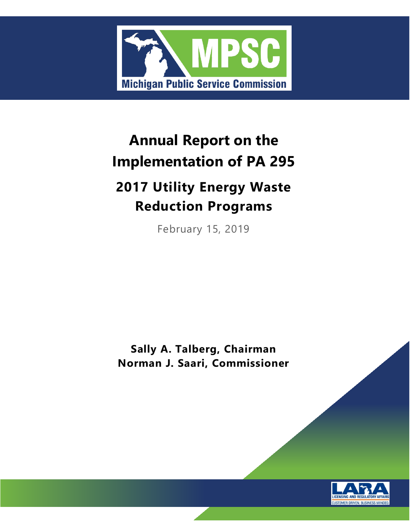

# **Annual Report on the Implementation of PA 295**

# **2017 Utility Energy Waste Reduction Programs**

February 15, 2019

**Sally A. Talberg, Chairman Norman J. Saari, Commissioner**

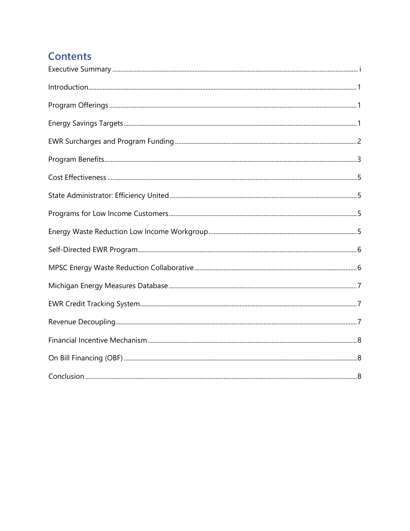## **Contents**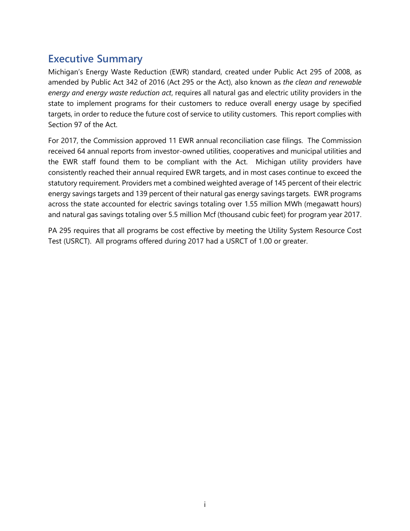#### <span id="page-4-0"></span>**Executive Summary**

Michigan's Energy Waste Reduction (EWR) standard, created under Public Act 295 of 2008, as amended by Public Act 342 of 2016 (Act 295 or the Act), also known as *the clean and renewable energy and energy waste reduction act*, requires all natural gas and electric utility providers in the state to implement programs for their customers to reduce overall energy usage by specified targets, in order to reduce the future cost of service to utility customers. This report complies with Section 97 of the Act.

For 2017, the Commission approved 11 EWR annual reconciliation case filings. The Commission received 64 annual reports from investor-owned utilities, cooperatives and municipal utilities and the EWR staff found them to be compliant with the Act. Michigan utility providers have consistently reached their annual required EWR targets, and in most cases continue to exceed the statutory requirement. Providers met a combined weighted average of 145 percent of their electric energy savings targets and 139 percent of their natural gas energy savings targets. EWR programs across the state accounted for electric savings totaling over 1.55 million MWh (megawatt hours) and natural gas savings totaling over 5.5 million Mcf (thousand cubic feet) for program year 2017.

PA 295 requires that all programs be cost effective by meeting the Utility System Resource Cost Test (USRCT). All programs offered during 2017 had a USRCT of 1.00 or greater.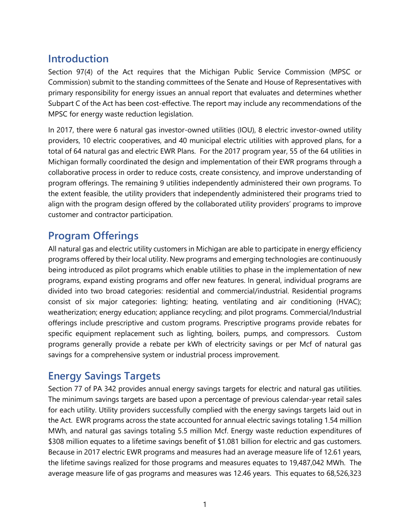#### <span id="page-5-0"></span>**Introduction**

Section 97(4) of the Act requires that the Michigan Public Service Commission (MPSC or Commission) submit to the standing committees of the Senate and House of Representatives with primary responsibility for energy issues an annual report that evaluates and determines whether Subpart C of the Act has been cost-effective. The report may include any recommendations of the MPSC for energy waste reduction legislation.

In 2017, there were 6 natural gas investor-owned utilities (IOU), 8 electric investor-owned utility providers, 10 electric cooperatives, and 40 municipal electric utilities with approved plans, for a total of 64 natural gas and electric EWR Plans. For the 2017 program year, 55 of the 64 utilities in Michigan formally coordinated the design and implementation of their EWR programs through a collaborative process in order to reduce costs, create consistency, and improve understanding of program offerings. The remaining 9 utilities independently administered their own programs. To the extent feasible, the utility providers that independently administered their programs tried to align with the program design offered by the collaborated utility providers' programs to improve customer and contractor participation.

#### <span id="page-5-1"></span>**Program Offerings**

All natural gas and electric utility customers in Michigan are able to participate in energy efficiency programs offered by their local utility. New programs and emerging technologies are continuously being introduced as pilot programs which enable utilities to phase in the implementation of new programs, expand existing programs and offer new features. In general, individual programs are divided into two broad categories: residential and commercial/industrial. Residential programs consist of six major categories: lighting; heating, ventilating and air conditioning (HVAC); weatherization; energy education; appliance recycling; and pilot programs. Commercial/Industrial offerings include prescriptive and custom programs. Prescriptive programs provide rebates for specific equipment replacement such as lighting, boilers, pumps, and compressors. Custom programs generally provide a rebate per kWh of electricity savings or per Mcf of natural gas savings for a comprehensive system or industrial process improvement.

## <span id="page-5-2"></span>**Energy Savings Targets**

Section 77 of PA 342 provides annual energy savings targets for electric and natural gas utilities. The minimum savings targets are based upon a percentage of previous calendar-year retail sales for each utility. Utility providers successfully complied with the energy savings targets laid out in the Act. EWR programs across the state accounted for annual electric savings totaling 1.54 million MWh, and natural gas savings totaling 5.5 million Mcf. Energy waste reduction expenditures of \$308 million equates to a lifetime savings benefit of \$1.081 billion for electric and gas customers. Because in 2017 electric EWR programs and measures had an average measure life of 12.61 years, the lifetime savings realized for those programs and measures equates to 19,487,042 MWh. The average measure life of gas programs and measures was 12.46 years. This equates to 68,526,323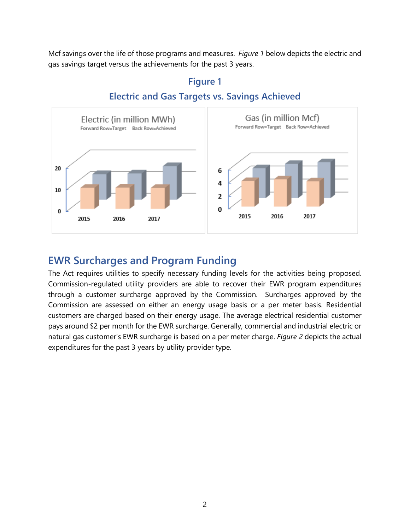Mcf savings over the life of those programs and measures. *Figure 1* below depicts the electric and gas savings target versus the achievements for the past 3 years.



#### **Figure 1 Electric and Gas Targets vs. Savings Achieved**

#### <span id="page-6-0"></span>**EWR Surcharges and Program Funding**

The Act requires utilities to specify necessary funding levels for the activities being proposed. Commission-regulated utility providers are able to recover their EWR program expenditures through a customer surcharge approved by the Commission. Surcharges approved by the Commission are assessed on either an energy usage basis or a per meter basis. Residential customers are charged based on their energy usage. The average electrical residential customer pays around \$2 per month for the EWR surcharge. Generally, commercial and industrial electric or natural gas customer's EWR surcharge is based on a per meter charge. *Figure 2* depicts the actual expenditures for the past 3 years by utility provider type.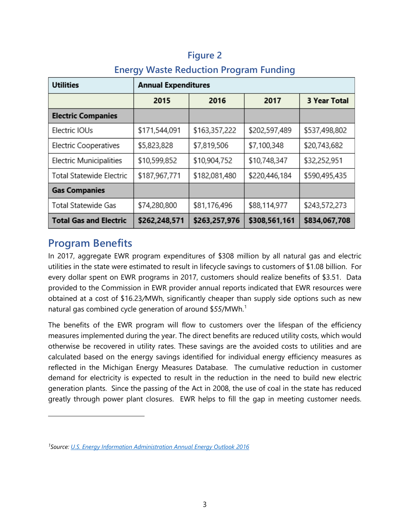| <b>Utilities</b>                | <b>Annual Expenditures</b> |               |               |                     |
|---------------------------------|----------------------------|---------------|---------------|---------------------|
|                                 | 2015                       | 2016          | 2017          | <b>3 Year Total</b> |
| <b>Electric Companies</b>       |                            |               |               |                     |
| Electric IOUs                   | \$171,544,091              | \$163,357,222 | \$202,597,489 | \$537,498,802       |
| <b>Electric Cooperatives</b>    | \$5,823,828                | \$7,819,506   | \$7,100,348   | \$20,743,682        |
| Electric Municipalities         | \$10,599,852               | \$10,904,752  | \$10,748,347  | \$32,252,951        |
| <b>Total Statewide Electric</b> | \$187,967,771              | \$182,081,480 | \$220,446,184 | \$590,495,435       |
| <b>Gas Companies</b>            |                            |               |               |                     |
| <b>Total Statewide Gas</b>      | \$74,280,800               | \$81,176,496  | \$88,114,977  | \$243,572,273       |
| <b>Total Gas and Electric</b>   | \$262,248,571              | \$263,257,976 | \$308,561,161 | \$834,067,708       |

#### **Figure 2**

#### **Energy Waste Reduction Program Funding**

#### <span id="page-7-0"></span>**Program Benefits**

 $\overline{a}$ 

In 2017, aggregate EWR program expenditures of \$308 million by all natural gas and electric utilities in the state were estimated to result in lifecycle savings to customers of \$1.08 billion. For every dollar spent on EWR programs in 2017, customers should realize benefits of \$3.51. Data provided to the Commission in EWR provider annual reports indicated that EWR resources were obtained at a cost of \$16.23*/*MWh, significantly cheaper than supply side options such as new natural gas combined cycle generation of around \$55/MWh.<sup>[1](#page-7-1)</sup>

The benefits of the EWR program will flow to customers over the lifespan of the efficiency measures implemented during the year. The direct benefits are reduced utility costs, which would otherwise be recovered in utility rates. These savings are the avoided costs to utilities and are calculated based on the energy savings identified for individual energy efficiency measures as reflected in the Michigan Energy Measures Database. The cumulative reduction in customer demand for electricity is expected to result in the reduction in the need to build new electric generation plants. Since the passing of the Act in 2008, the use of coal in the state has reduced greatly through power plant closures. EWR helps to fill the gap in meeting customer needs.

<span id="page-7-1"></span>*<sup>1</sup>Source: [U.S. Energy Information Administration Annual Energy Outlook 2016](http://www.eia.gov/forecasts/aeo/pdf/electricity_generation.pdf)*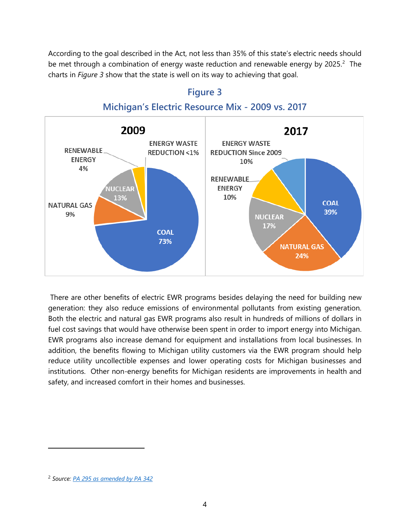According to the goal described in the Act, not less than 35% of this state's electric needs should be met through a combination of energy waste reduction and renewable energy by [2](#page-8-0)025. $2$  The charts in *Figure 3* show that the state is well on its way to achieving that goal.



#### **Figure 3 Michigan's Electric Resource Mix - 2009 vs. 2017**

There are other benefits of electric EWR programs besides delaying the need for building new generation: they also reduce emissions of environmental pollutants from existing generation. Both the electric and natural gas EWR programs also result in hundreds of millions of dollars in fuel cost savings that would have otherwise been spent in order to import energy into Michigan. EWR programs also increase demand for equipment and installations from local businesses. In addition, the benefits flowing to Michigan utility customers via the EWR program should help reduce utility uncollectible expenses and lower operating costs for Michigan businesses and institutions. Other non-energy benefits for Michigan residents are improvements in health and safety, and increased comfort in their homes and businesses.

 $\overline{a}$ 

<span id="page-8-0"></span><sup>2</sup> *Source: [PA 295 as amended by PA 342](http://www.legislature.mi.gov/documents/2015-2016/publicact/pdf/2016-PA-0342.pdf)*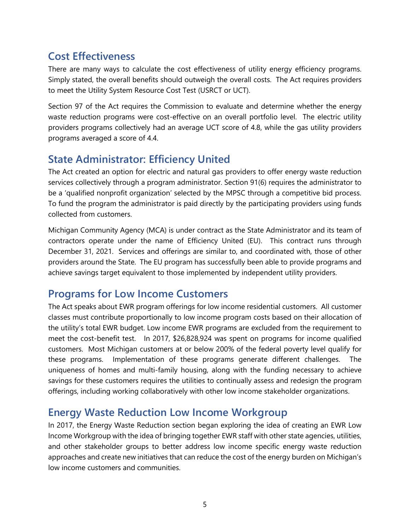#### <span id="page-9-0"></span>**Cost Effectiveness**

There are many ways to calculate the cost effectiveness of utility energy efficiency programs. Simply stated, the overall benefits should outweigh the overall costs. The Act requires providers to meet the Utility System Resource Cost Test (USRCT or UCT).

Section 97 of the Act requires the Commission to evaluate and determine whether the energy waste reduction programs were cost-effective on an overall portfolio level. The electric utility providers programs collectively had an average UCT score of 4.8, while the gas utility providers programs averaged a score of 4.4.

#### <span id="page-9-1"></span>**State Administrator: Efficiency United**

The Act created an option for electric and natural gas providers to offer energy waste reduction services collectively through a program administrator. Section 91(6) requires the administrator to be a 'qualified nonprofit organization' selected by the MPSC through a competitive bid process. To fund the program the administrator is paid directly by the participating providers using funds collected from customers.

Michigan Community Agency (MCA) is under contract as the State Administrator and its team of contractors operate under the name of Efficiency United (EU). This contract runs through December 31, 2021. Services and offerings are similar to, and coordinated with, those of other providers around the State. The EU program has successfully been able to provide programs and achieve savings target equivalent to those implemented by independent utility providers.

#### <span id="page-9-2"></span>**Programs for Low Income Customers**

The Act speaks about EWR program offerings for low income residential customers. All customer classes must contribute proportionally to low income program costs based on their allocation of the utility's total EWR budget. Low income EWR programs are excluded from the requirement to meet the cost-benefit test. In 2017, \$26,828,924 was spent on programs for income qualified customers. Most Michigan customers at or below 200% of the federal poverty level qualify for these programs. Implementation of these programs generate different challenges. The uniqueness of homes and multi-family housing, along with the funding necessary to achieve savings for these customers requires the utilities to continually assess and redesign the program offerings, including working collaboratively with other low income stakeholder organizations.

#### <span id="page-9-3"></span>**Energy Waste Reduction Low Income Workgroup**

In 2017, the Energy Waste Reduction section began exploring the idea of creating an EWR Low Income Workgroup with the idea of bringing together EWR staff with other state agencies, utilities, and other stakeholder groups to better address low income specific energy waste reduction approaches and create new initiatives that can reduce the cost of the energy burden on Michigan's low income customers and communities.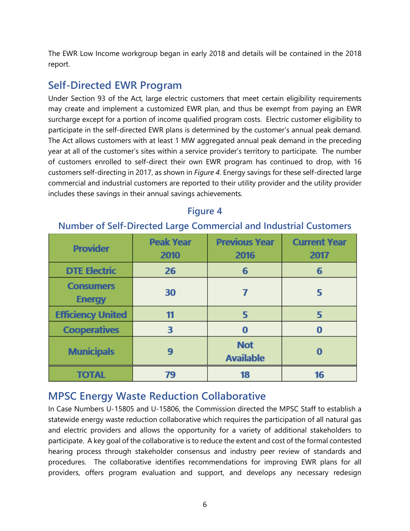The EWR Low Income workgroup began in early 2018 and details will be contained in the 2018 report.

#### <span id="page-10-0"></span>**Self-Directed EWR Program**

Under Section 93 of the Act, large electric customers that meet certain eligibility requirements may create and implement a customized EWR plan, and thus be exempt from paying an EWR surcharge except for a portion of income qualified program costs. Electric customer eligibility to participate in the self-directed EWR plans is determined by the customer's annual peak demand. The Act allows customers with at least 1 MW aggregated annual peak demand in the preceding year at all of the customer's sites within a service provider's territory to participate. The number of customers enrolled to self-direct their own EWR program has continued to drop, with 16 customers self-directing in 2017, as shown in *Figure 4.* Energy savings for these self-directed large commercial and industrial customers are reported to their utility provider and the utility provider includes these savings in their annual savings achievements*.*

| <b>Provider</b>                   | <b>Peak Year</b><br>2010 | <b>Previous Year</b><br>2016   | <b>Current Year</b><br>2017 |
|-----------------------------------|--------------------------|--------------------------------|-----------------------------|
| <b>DTE Electric</b>               | 26                       | 6                              | 6                           |
| <b>Consumers</b><br><b>Energy</b> | 30                       |                                | 5                           |
| <b>Efficiency United</b>          | 11                       | 5                              | 5                           |
| <b>Cooperatives</b>               | 3                        | $\bf{0}$                       | 0                           |
| <b>Municipals</b>                 | 9                        | <b>Not</b><br><b>Available</b> | O                           |
| <b>TOTAL</b>                      | 79                       | 18                             | 16                          |

#### **Figure 4**

#### **Number of Self-Directed Large Commercial and Industrial Customers**

## <span id="page-10-1"></span>**MPSC Energy Waste Reduction Collaborative**

In Case Numbers U-15805 and U-15806, the Commission directed the MPSC Staff to establish a statewide energy waste reduction collaborative which requires the participation of all natural gas and electric providers and allows the opportunity for a variety of additional stakeholders to participate. A key goal of the collaborative is to reduce the extent and cost of the formal contested hearing process through stakeholder consensus and industry peer review of standards and procedures. The collaborative identifies recommendations for improving EWR plans for all providers, offers program evaluation and support, and develops any necessary redesign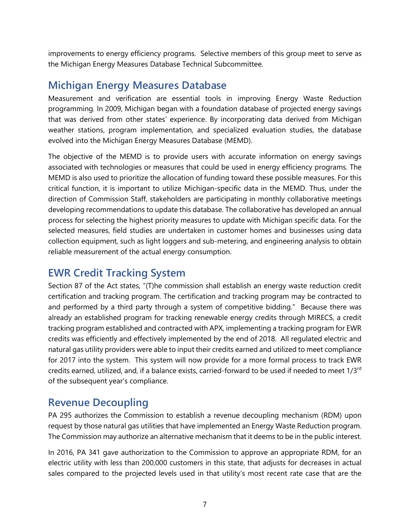improvements to energy efficiency programs. Selective members of this group meet to serve as the Michigan Energy Measures Database Technical Subcommittee.

#### <span id="page-11-0"></span>**Michigan Energy Measures Database**

Measurement and verification are essential tools in improving Energy Waste Reduction programming. In 2009, Michigan began with a foundation database of projected energy savings that was derived from other states' experience. By incorporating data derived from Michigan weather stations, program implementation, and specialized evaluation studies, the database evolved into the Michigan Energy Measures Database (MEMD).

The objective of the MEMD is to provide users with accurate information on energy savings associated with technologies or measures that could be used in energy efficiency programs. The MEMD is also used to prioritize the allocation of funding toward these possible measures. For this critical function, it is important to utilize Michigan-specific data in the MEMD. Thus, under the direction of Commission Staff, stakeholders are participating in monthly collaborative meetings developing recommendations to update this database. The collaborative has developed an annual process for selecting the highest priority measures to update with Michigan specific data. For the selected measures, field studies are undertaken in customer homes and businesses using data collection equipment, such as light loggers and sub-metering, and engineering analysis to obtain reliable measurement of the actual energy consumption.

## <span id="page-11-1"></span>**EWR Credit Tracking System**

Section 87 of the Act states, "(T)he commission shall establish an energy waste reduction credit certification and tracking program. The certification and tracking program may be contracted to and performed by a third party through a system of competitive bidding." Because there was already an established program for tracking renewable energy credits through MIRECS, a credit tracking program established and contracted with APX, implementing a tracking program for EWR credits was efficiently and effectively implemented by the end of 2018. All regulated electric and natural gas utility providers were able to input their credits earned and utilized to meet compliance for 2017 into the system. This system will now provide for a more formal process to track EWR credits earned, utilized, and, if a balance exists, carried-forward to be used if needed to meet 1/3rd of the subsequent year's compliance.

#### <span id="page-11-2"></span>**Revenue Decoupling**

PA 295 authorizes the Commission to establish a revenue decoupling mechanism (RDM) upon request by those natural gas utilities that have implemented an Energy Waste Reduction program. The Commission may authorize an alternative mechanism that it deems to be in the public interest.

In 2016, PA 341 gave authorization to the Commission to approve an appropriate RDM, for an electric utility with less than 200,000 customers in this state, that adjusts for decreases in actual sales compared to the projected levels used in that utility's most recent rate case that are the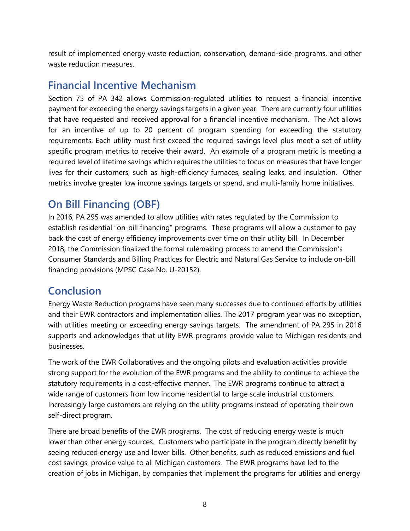result of implemented energy waste reduction, conservation, demand-side programs, and other waste reduction measures.

#### <span id="page-12-0"></span>**Financial Incentive Mechanism**

Section 75 of PA 342 allows Commission-regulated utilities to request a financial incentive payment for exceeding the energy savings targets in a given year. There are currently four utilities that have requested and received approval for a financial incentive mechanism. The Act allows for an incentive of up to 20 percent of program spending for exceeding the statutory requirements. Each utility must first exceed the required savings level plus meet a set of utility specific program metrics to receive their award. An example of a program metric is meeting a required level of lifetime savings which requires the utilities to focus on measures that have longer lives for their customers, such as high-efficiency furnaces, sealing leaks, and insulation. Other metrics involve greater low income savings targets or spend, and multi-family home initiatives.

## <span id="page-12-1"></span>**On Bill Financing (OBF)**

In 2016, PA 295 was amended to allow utilities with rates regulated by the Commission to establish residential "on-bill financing" programs. These programs will allow a customer to pay back the cost of energy efficiency improvements over time on their utility bill. In December 2018, the Commission finalized the formal rulemaking process to amend the Commission's Consumer Standards and Billing Practices for Electric and Natural Gas Service to include on-bill financing provisions (MPSC Case No. U-20152).

## <span id="page-12-2"></span>**Conclusion**

Energy Waste Reduction programs have seen many successes due to continued efforts by utilities and their EWR contractors and implementation allies. The 2017 program year was no exception, with utilities meeting or exceeding energy savings targets. The amendment of PA 295 in 2016 supports and acknowledges that utility EWR programs provide value to Michigan residents and businesses.

The work of the EWR Collaboratives and the ongoing pilots and evaluation activities provide strong support for the evolution of the EWR programs and the ability to continue to achieve the statutory requirements in a cost-effective manner. The EWR programs continue to attract a wide range of customers from low income residential to large scale industrial customers. Increasingly large customers are relying on the utility programs instead of operating their own self-direct program.

There are broad benefits of the EWR programs. The cost of reducing energy waste is much lower than other energy sources. Customers who participate in the program directly benefit by seeing reduced energy use and lower bills. Other benefits, such as reduced emissions and fuel cost savings, provide value to all Michigan customers. The EWR programs have led to the creation of jobs in Michigan, by companies that implement the programs for utilities and energy